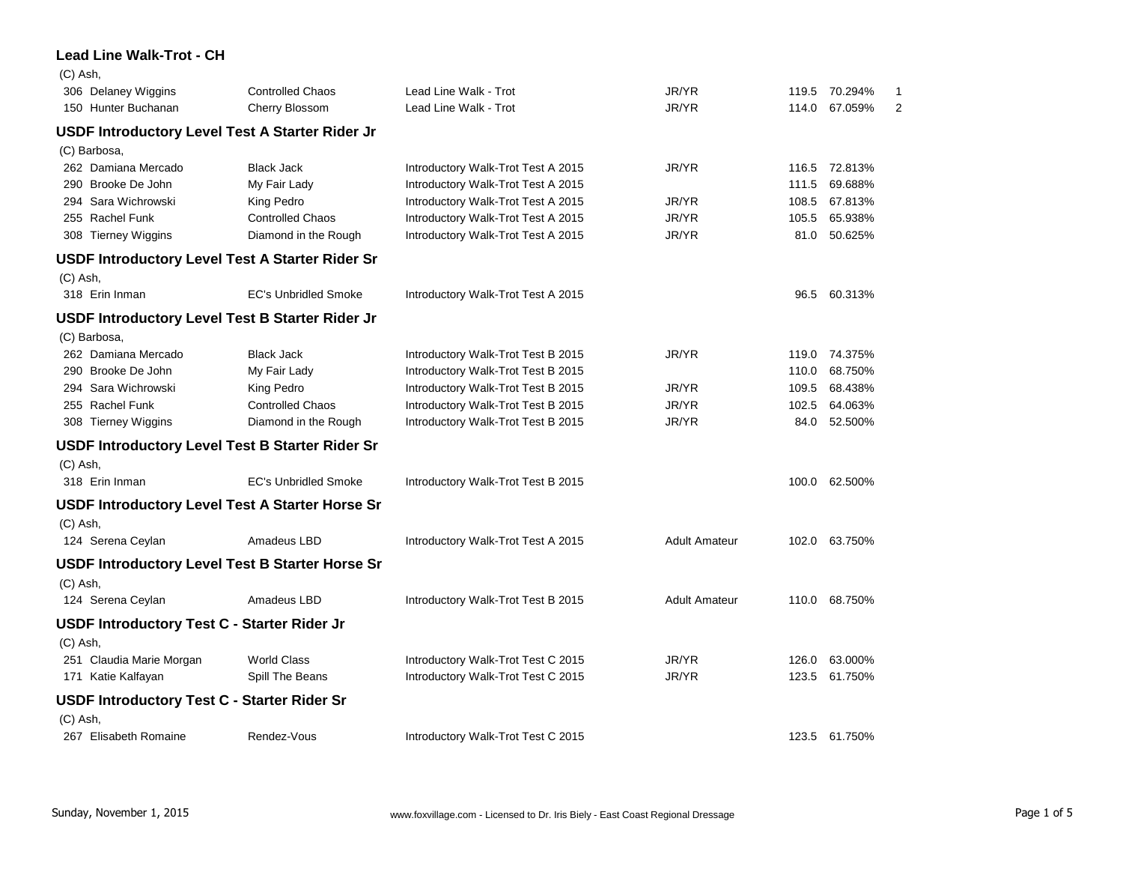## **Lead Line Walk-Trot - CH**

| $(C)$ Ash, |                                                        |                                                        |                                    |                      |       |               |   |
|------------|--------------------------------------------------------|--------------------------------------------------------|------------------------------------|----------------------|-------|---------------|---|
|            | 306 Delaney Wiggins                                    | <b>Controlled Chaos</b>                                | Lead Line Walk - Trot              | JR/YR                | 119.5 | 70.294%       |   |
|            | 150 Hunter Buchanan                                    | Cherry Blossom                                         | Lead Line Walk - Trot              | JR/YR                | 114.0 | 67.059%       | 2 |
|            | USDF Introductory Level Test A Starter Rider Jr        |                                                        |                                    |                      |       |               |   |
|            | (C) Barbosa,                                           |                                                        |                                    |                      |       |               |   |
|            | 262 Damiana Mercado                                    | <b>Black Jack</b>                                      | Introductory Walk-Trot Test A 2015 | JR/YR                | 116.5 | 72.813%       |   |
|            | 290 Brooke De John                                     | My Fair Lady                                           | Introductory Walk-Trot Test A 2015 |                      | 111.5 | 69.688%       |   |
|            | 294 Sara Wichrowski                                    | King Pedro                                             | Introductory Walk-Trot Test A 2015 | JR/YR                | 108.5 | 67.813%       |   |
|            | 255 Rachel Funk                                        | <b>Controlled Chaos</b>                                | Introductory Walk-Trot Test A 2015 | JR/YR                | 105.5 | 65.938%       |   |
|            | 308 Tierney Wiggins                                    | Diamond in the Rough                                   | Introductory Walk-Trot Test A 2015 | JR/YR                | 81.0  | 50.625%       |   |
|            | <b>USDF Introductory Level Test A Starter Rider Sr</b> |                                                        |                                    |                      |       |               |   |
| $(C)$ Ash, |                                                        |                                                        |                                    |                      |       |               |   |
|            | 318 Erin Inman                                         | <b>EC's Unbridled Smoke</b>                            | Introductory Walk-Trot Test A 2015 |                      | 96.5  | 60.313%       |   |
|            | <b>USDF Introductory Level Test B Starter Rider Jr</b> |                                                        |                                    |                      |       |               |   |
|            | (C) Barbosa,                                           |                                                        |                                    |                      |       |               |   |
|            | 262 Damiana Mercado                                    | <b>Black Jack</b>                                      | Introductory Walk-Trot Test B 2015 | JR/YR                | 119.0 | 74.375%       |   |
|            | 290 Brooke De John                                     | My Fair Lady                                           | Introductory Walk-Trot Test B 2015 |                      | 110.0 | 68.750%       |   |
|            | 294 Sara Wichrowski                                    | King Pedro                                             | Introductory Walk-Trot Test B 2015 | JR/YR                | 109.5 | 68.438%       |   |
|            | 255 Rachel Funk                                        | <b>Controlled Chaos</b>                                | Introductory Walk-Trot Test B 2015 | JR/YR                | 102.5 | 64.063%       |   |
|            | 308 Tierney Wiggins                                    | Diamond in the Rough                                   | Introductory Walk-Trot Test B 2015 | JR/YR                | 84.0  | 52.500%       |   |
|            | <b>USDF Introductory Level Test B Starter Rider Sr</b> |                                                        |                                    |                      |       |               |   |
| $(C)$ Ash, |                                                        |                                                        |                                    |                      |       |               |   |
|            | 318 Erin Inman                                         | <b>EC's Unbridled Smoke</b>                            | Introductory Walk-Trot Test B 2015 |                      | 100.0 | 62.500%       |   |
|            |                                                        | USDF Introductory Level Test A Starter Horse Sr        |                                    |                      |       |               |   |
| $(C)$ Ash, |                                                        |                                                        |                                    |                      |       |               |   |
|            | 124 Serena Ceylan                                      | Amadeus LBD                                            | Introductory Walk-Trot Test A 2015 | <b>Adult Amateur</b> | 102.0 | 63.750%       |   |
|            |                                                        | <b>USDF Introductory Level Test B Starter Horse Sr</b> |                                    |                      |       |               |   |
| $(C)$ Ash, |                                                        |                                                        |                                    |                      |       |               |   |
|            | 124 Serena Ceylan                                      | Amadeus LBD                                            | Introductory Walk-Trot Test B 2015 | <b>Adult Amateur</b> |       | 110.0 68.750% |   |
|            | <b>USDF Introductory Test C - Starter Rider Jr</b>     |                                                        |                                    |                      |       |               |   |
| $(C)$ Ash, |                                                        |                                                        |                                    |                      |       |               |   |
|            | 251 Claudia Marie Morgan                               | <b>World Class</b>                                     | Introductory Walk-Trot Test C 2015 | JR/YR                | 126.0 | 63.000%       |   |
|            | 171 Katie Kalfayan                                     | Spill The Beans                                        | Introductory Walk-Trot Test C 2015 | JR/YR                | 123.5 | 61.750%       |   |
|            | <b>USDF Introductory Test C - Starter Rider Sr</b>     |                                                        |                                    |                      |       |               |   |
| $(C)$ Ash, |                                                        |                                                        |                                    |                      |       |               |   |
|            | 267 Elisabeth Romaine                                  | Rendez-Vous                                            | Introductory Walk-Trot Test C 2015 |                      |       | 123.5 61.750% |   |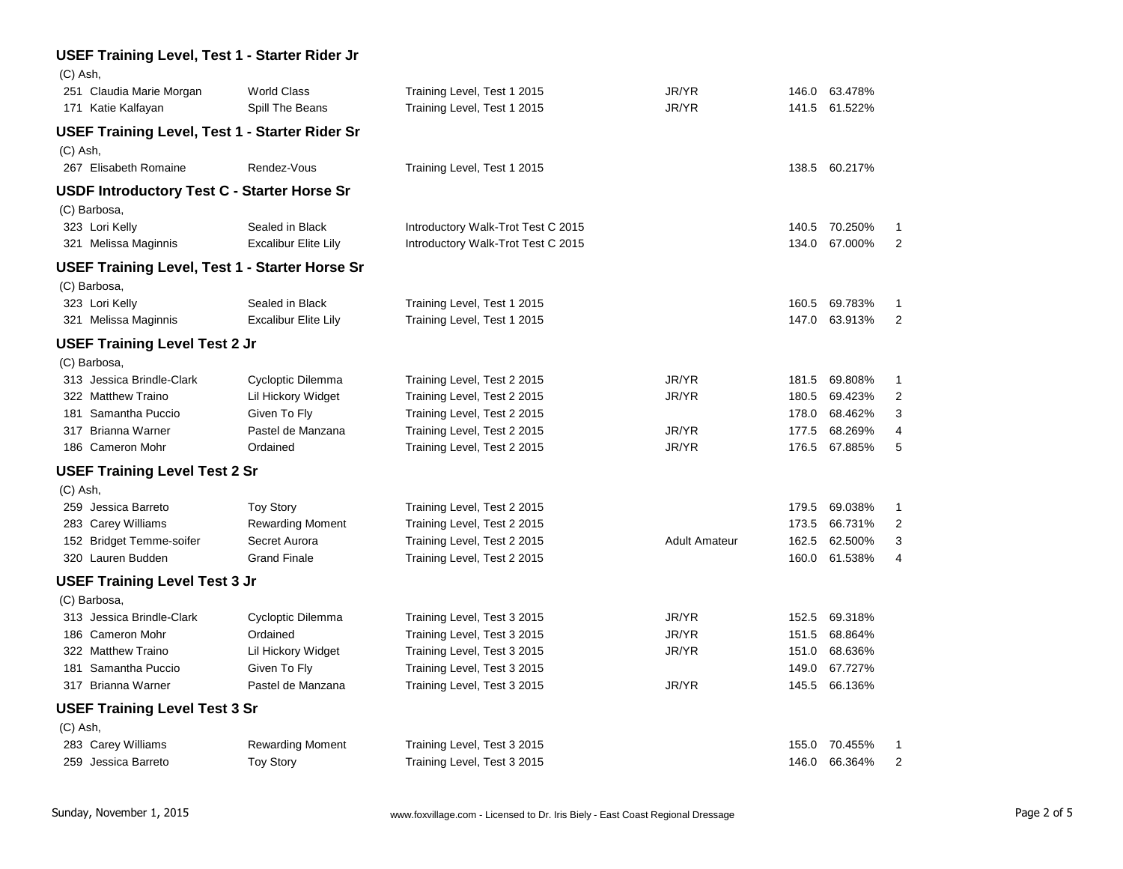| (C) Ash,                                              |                             |                                    |                      |       |               |                |
|-------------------------------------------------------|-----------------------------|------------------------------------|----------------------|-------|---------------|----------------|
| 251 Claudia Marie Morgan                              | <b>World Class</b>          | Training Level, Test 1 2015        | JR/YR                | 146.0 | 63.478%       |                |
| 171 Katie Kalfayan                                    | Spill The Beans             | Training Level, Test 1 2015        | JR/YR                | 141.5 | 61.522%       |                |
| <b>USEF Training Level, Test 1 - Starter Rider Sr</b> |                             |                                    |                      |       |               |                |
| $(C)$ Ash,                                            |                             |                                    |                      |       |               |                |
| 267 Elisabeth Romaine                                 | Rendez-Vous                 | Training Level, Test 1 2015        |                      | 138.5 | 60.217%       |                |
| <b>USDF Introductory Test C - Starter Horse Sr</b>    |                             |                                    |                      |       |               |                |
| (C) Barbosa,                                          |                             |                                    |                      |       |               |                |
| 323 Lori Kelly                                        | Sealed in Black             | Introductory Walk-Trot Test C 2015 |                      | 140.5 | 70.250%       | 1              |
| 321 Melissa Maginnis                                  | <b>Excalibur Elite Lily</b> | Introductory Walk-Trot Test C 2015 |                      | 134.0 | 67.000%       | 2              |
| <b>USEF Training Level, Test 1 - Starter Horse Sr</b> |                             |                                    |                      |       |               |                |
| (C) Barbosa,                                          |                             |                                    |                      |       |               |                |
| 323 Lori Kelly                                        | Sealed in Black             | Training Level, Test 1 2015        |                      | 160.5 | 69.783%       | 1              |
| 321 Melissa Maginnis                                  | <b>Excalibur Elite Lily</b> | Training Level, Test 1 2015        |                      | 147.0 | 63.913%       | $\overline{2}$ |
| <b>USEF Training Level Test 2 Jr</b>                  |                             |                                    |                      |       |               |                |
| (C) Barbosa,                                          |                             |                                    |                      |       |               |                |
| 313 Jessica Brindle-Clark                             | Cycloptic Dilemma           | Training Level, Test 2 2015        | JR/YR                | 181.5 | 69.808%       | 1              |
| 322 Matthew Traino                                    | Lil Hickory Widget          | Training Level, Test 2 2015        | JR/YR                | 180.5 | 69.423%       | $\overline{2}$ |
| 181 Samantha Puccio                                   | Given To Fly                | Training Level, Test 2 2015        |                      | 178.0 | 68.462%       | 3              |
| 317 Brianna Warner                                    | Pastel de Manzana           | Training Level, Test 2 2015        | JR/YR                | 177.5 | 68.269%       | 4              |
| 186 Cameron Mohr                                      | Ordained                    | Training Level, Test 2 2015        | JR/YR                |       | 176.5 67.885% | 5              |
|                                                       |                             |                                    |                      |       |               |                |
| <b>USEF Training Level Test 2 Sr</b><br>$(C)$ Ash,    |                             |                                    |                      |       |               |                |
| 259 Jessica Barreto                                   | <b>Toy Story</b>            | Training Level, Test 2 2015        |                      | 179.5 | 69.038%       | 1              |
| 283 Carey Williams                                    | <b>Rewarding Moment</b>     | Training Level, Test 2 2015        |                      | 173.5 | 66.731%       | $\overline{2}$ |
| 152 Bridget Temme-soifer                              | Secret Aurora               | Training Level, Test 2 2015        | <b>Adult Amateur</b> | 162.5 | 62.500%       | 3              |
| 320 Lauren Budden                                     | <b>Grand Finale</b>         | Training Level, Test 2 2015        |                      | 160.0 | 61.538%       | $\overline{4}$ |
|                                                       |                             |                                    |                      |       |               |                |
| <b>USEF Training Level Test 3 Jr</b>                  |                             |                                    |                      |       |               |                |
| (C) Barbosa,                                          |                             |                                    |                      |       |               |                |
| 313 Jessica Brindle-Clark                             | Cycloptic Dilemma           | Training Level, Test 3 2015        | JR/YR                | 152.5 | 69.318%       |                |
| 186 Cameron Mohr                                      | Ordained                    | Training Level, Test 3 2015        | JR/YR                | 151.5 | 68.864%       |                |
| 322 Matthew Traino                                    | Lil Hickory Widget          | Training Level, Test 3 2015        | JR/YR                | 151.0 | 68.636%       |                |
| 181 Samantha Puccio                                   | Given To Fly                | Training Level, Test 3 2015        |                      | 149.0 | 67.727%       |                |
| 317 Brianna Warner                                    | Pastel de Manzana           | Training Level, Test 3 2015        | JR/YR                | 145.5 | 66.136%       |                |
| <b>USEF Training Level Test 3 Sr</b>                  |                             |                                    |                      |       |               |                |
| (C) Ash,                                              |                             |                                    |                      |       |               |                |
| 283 Carey Williams                                    | <b>Rewarding Moment</b>     | Training Level, Test 3 2015        |                      | 155.0 | 70.455%       | 1              |
| 259 Jessica Barreto                                   | <b>Toy Story</b>            | Training Level, Test 3 2015        |                      |       | 146.0 66.364% | $\overline{2}$ |
|                                                       |                             |                                    |                      |       |               |                |

## **USEF Training Level, Test 1 - Starter Rider Jr**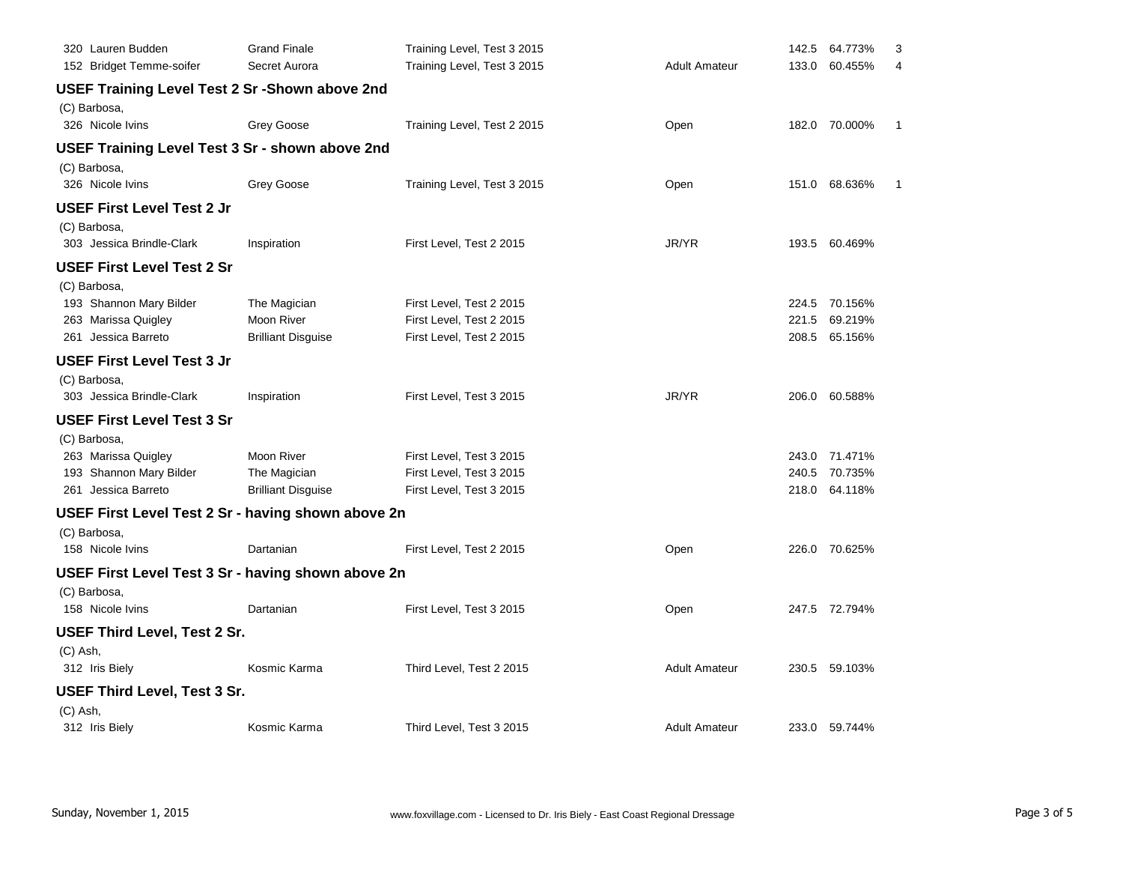| 320 Lauren Budden                                      | <b>Grand Finale</b>       | Training Level, Test 3 2015 |                      | 142.5 | 64.773%       | 3 |
|--------------------------------------------------------|---------------------------|-----------------------------|----------------------|-------|---------------|---|
| 152 Bridget Temme-soifer                               | Secret Aurora             | Training Level, Test 3 2015 | <b>Adult Amateur</b> | 133.0 | 60.455%       | 4 |
| <b>USEF Training Level Test 2 Sr - Shown above 2nd</b> |                           |                             |                      |       |               |   |
| (C) Barbosa,                                           |                           |                             |                      |       |               |   |
| 326 Nicole Ivins                                       | Grey Goose                | Training Level, Test 2 2015 | Open                 |       | 182.0 70.000% | 1 |
| USEF Training Level Test 3 Sr - shown above 2nd        |                           |                             |                      |       |               |   |
| (C) Barbosa,                                           |                           |                             |                      |       |               |   |
| 326 Nicole Ivins                                       | Grey Goose                | Training Level, Test 3 2015 | Open                 |       | 151.0 68.636% | 1 |
| USEF First Level Test 2 Jr                             |                           |                             |                      |       |               |   |
| (C) Barbosa,                                           |                           |                             |                      |       |               |   |
| 303 Jessica Brindle-Clark                              | Inspiration               | First Level, Test 2 2015    | JR/YR                |       | 193.5 60.469% |   |
| <b>USEF First Level Test 2 Sr</b>                      |                           |                             |                      |       |               |   |
| (C) Barbosa,                                           |                           |                             |                      |       |               |   |
| 193 Shannon Mary Bilder                                | The Magician              | First Level, Test 2 2015    |                      | 224.5 | 70.156%       |   |
| 263 Marissa Quigley                                    | <b>Moon River</b>         | First Level, Test 2 2015    |                      | 221.5 | 69.219%       |   |
| 261 Jessica Barreto                                    | <b>Brilliant Disguise</b> | First Level, Test 2 2015    |                      | 208.5 | 65.156%       |   |
| <b>USEF First Level Test 3 Jr</b>                      |                           |                             |                      |       |               |   |
| (C) Barbosa,                                           |                           |                             |                      |       |               |   |
| 303 Jessica Brindle-Clark                              | Inspiration               | First Level, Test 3 2015    | JR/YR                |       | 206.0 60.588% |   |
| <b>USEF First Level Test 3 Sr</b>                      |                           |                             |                      |       |               |   |
| (C) Barbosa,                                           |                           |                             |                      |       |               |   |
| 263 Marissa Quigley                                    | <b>Moon River</b>         | First Level, Test 3 2015    |                      |       | 243.0 71.471% |   |
| 193 Shannon Mary Bilder                                | The Magician              | First Level, Test 3 2015    |                      | 240.5 | 70.735%       |   |
| 261 Jessica Barreto                                    | <b>Brilliant Disguise</b> | First Level, Test 3 2015    |                      |       | 218.0 64.118% |   |
| USEF First Level Test 2 Sr - having shown above 2n     |                           |                             |                      |       |               |   |
| (C) Barbosa,                                           |                           |                             |                      |       |               |   |
| 158 Nicole Ivins                                       | Dartanian                 | First Level, Test 2 2015    | Open                 |       | 226.0 70.625% |   |
| USEF First Level Test 3 Sr - having shown above 2n     |                           |                             |                      |       |               |   |
| (C) Barbosa,                                           |                           |                             |                      |       |               |   |
| 158 Nicole Ivins                                       | Dartanian                 | First Level, Test 3 2015    | Open                 |       | 247.5 72.794% |   |
| <b>USEF Third Level, Test 2 Sr.</b>                    |                           |                             |                      |       |               |   |
| (C) Ash,                                               |                           |                             |                      |       |               |   |
| 312 Iris Biely                                         | Kosmic Karma              | Third Level, Test 2 2015    | <b>Adult Amateur</b> |       | 230.5 59.103% |   |
| <b>USEF Third Level, Test 3 Sr.</b>                    |                           |                             |                      |       |               |   |
| (C) Ash,                                               |                           |                             |                      |       |               |   |
| 312 Iris Biely                                         | Kosmic Karma              | Third Level, Test 3 2015    | <b>Adult Amateur</b> |       | 233.0 59.744% |   |
|                                                        |                           |                             |                      |       |               |   |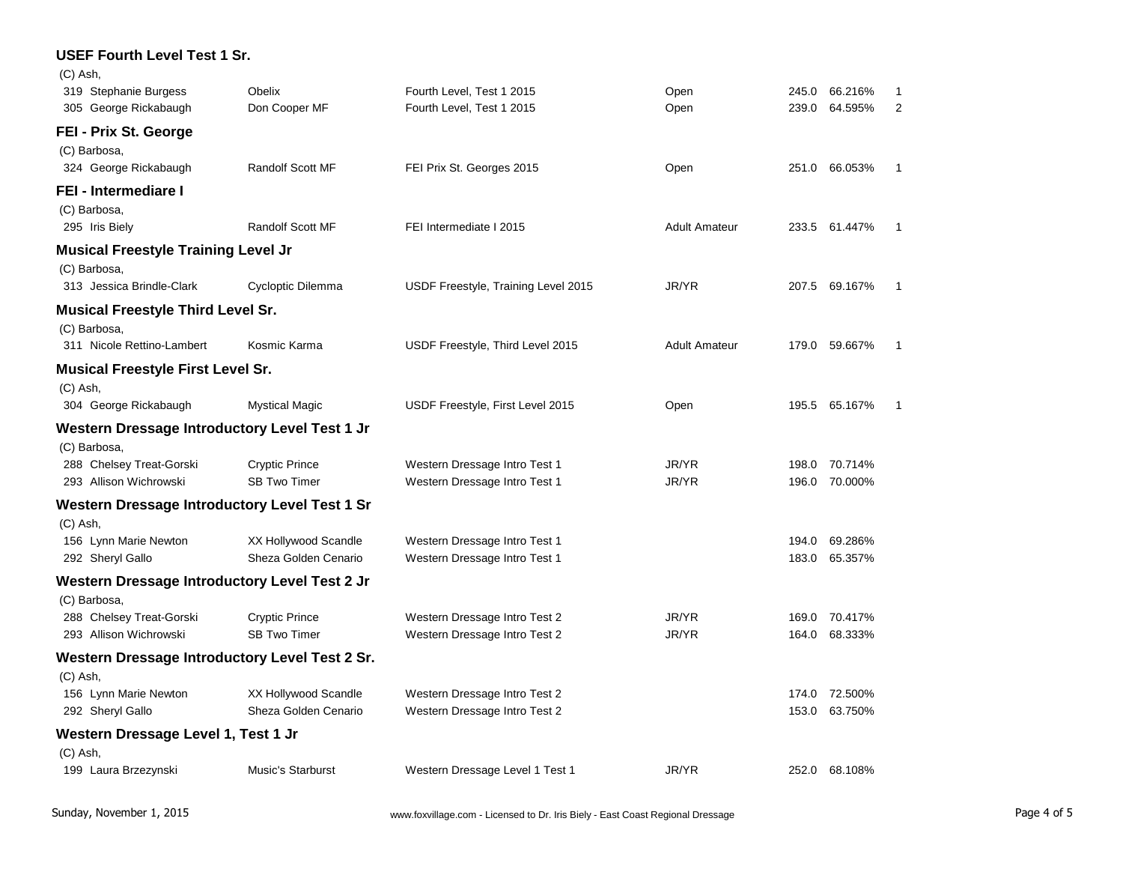| <b>USEF Fourth Level Test 1 Sr.</b>            |                                              |                                                                |                      |       |                          |   |
|------------------------------------------------|----------------------------------------------|----------------------------------------------------------------|----------------------|-------|--------------------------|---|
| (C) Ash.                                       |                                              |                                                                |                      |       |                          |   |
| 319 Stephanie Burgess                          | Obelix                                       | Fourth Level, Test 1 2015                                      | Open                 | 245.0 | 66.216%                  |   |
| 305 George Rickabaugh                          | Don Cooper MF                                | Fourth Level, Test 1 2015                                      | Open                 | 239.0 | 64.595%                  | 2 |
| FEI - Prix St. George                          |                                              |                                                                |                      |       |                          |   |
| (C) Barbosa,                                   |                                              |                                                                |                      |       |                          |   |
| 324 George Rickabaugh                          | Randolf Scott MF                             | FEI Prix St. Georges 2015                                      | Open                 | 251.0 | 66.053%                  |   |
| FEI - Intermediare I                           |                                              |                                                                |                      |       |                          |   |
| (C) Barbosa,                                   |                                              |                                                                |                      |       |                          |   |
| 295 Iris Biely                                 | <b>Randolf Scott MF</b>                      | FEI Intermediate I 2015                                        | <b>Adult Amateur</b> |       | 233.5 61.447%            |   |
| <b>Musical Freestyle Training Level Jr</b>     |                                              |                                                                |                      |       |                          |   |
| (C) Barbosa,                                   |                                              |                                                                |                      |       |                          |   |
| 313 Jessica Brindle-Clark                      | Cycloptic Dilemma                            | USDF Freestyle, Training Level 2015                            | JR/YR                | 207.5 | 69.167%                  |   |
| <b>Musical Freestyle Third Level Sr.</b>       |                                              |                                                                |                      |       |                          |   |
| (C) Barbosa,                                   |                                              |                                                                |                      |       |                          |   |
| 311 Nicole Rettino-Lambert                     | Kosmic Karma                                 | USDF Freestyle, Third Level 2015                               | <b>Adult Amateur</b> |       | 179.0 59.667%            |   |
| <b>Musical Freestyle First Level Sr.</b>       |                                              |                                                                |                      |       |                          |   |
| (C) Ash,                                       |                                              |                                                                |                      |       |                          |   |
| 304 George Rickabaugh                          | <b>Mystical Magic</b>                        | USDF Freestyle, First Level 2015                               | Open                 | 195.5 | 65.167%                  |   |
| Western Dressage Introductory Level Test 1 Jr  |                                              |                                                                |                      |       |                          |   |
| (C) Barbosa,                                   |                                              |                                                                |                      |       |                          |   |
| 288 Chelsey Treat-Gorski                       | <b>Cryptic Prince</b>                        | Western Dressage Intro Test 1                                  | JR/YR                | 198.0 | 70.714%                  |   |
| 293 Allison Wichrowski                         | <b>SB Two Timer</b>                          | Western Dressage Intro Test 1                                  | JR/YR                | 196.0 | 70.000%                  |   |
| Western Dressage Introductory Level Test 1 Sr  |                                              |                                                                |                      |       |                          |   |
| (C) Ash,                                       |                                              |                                                                |                      |       |                          |   |
| 156 Lynn Marie Newton                          | XX Hollywood Scandle                         | Western Dressage Intro Test 1                                  |                      | 194.0 | 69.286%                  |   |
| 292 Sheryl Gallo                               | Sheza Golden Cenario                         | Western Dressage Intro Test 1                                  |                      | 183.0 | 65.357%                  |   |
| Western Dressage Introductory Level Test 2 Jr  |                                              |                                                                |                      |       |                          |   |
| (C) Barbosa,                                   |                                              |                                                                |                      |       |                          |   |
| 288 Chelsey Treat-Gorski                       | <b>Cryptic Prince</b>                        | Western Dressage Intro Test 2                                  | JR/YR                | 169.0 | 70.417%                  |   |
| 293 Allison Wichrowski                         | <b>SB Two Timer</b>                          | Western Dressage Intro Test 2                                  | JR/YR                | 164.0 | 68.333%                  |   |
| Western Dressage Introductory Level Test 2 Sr. |                                              |                                                                |                      |       |                          |   |
| (C) Ash,                                       |                                              |                                                                |                      |       |                          |   |
| 156 Lynn Marie Newton<br>292 Sheryl Gallo      | XX Hollywood Scandle<br>Sheza Golden Cenario | Western Dressage Intro Test 2<br>Western Dressage Intro Test 2 |                      | 153.0 | 174.0 72.500%<br>63.750% |   |
|                                                |                                              |                                                                |                      |       |                          |   |
| Western Dressage Level 1, Test 1 Jr            |                                              |                                                                |                      |       |                          |   |
| (C) Ash,                                       | <b>Music's Starburst</b>                     |                                                                | JR/YR                |       | 252.0 68.108%            |   |
| 199 Laura Brzezynski                           |                                              | Western Dressage Level 1 Test 1                                |                      |       |                          |   |